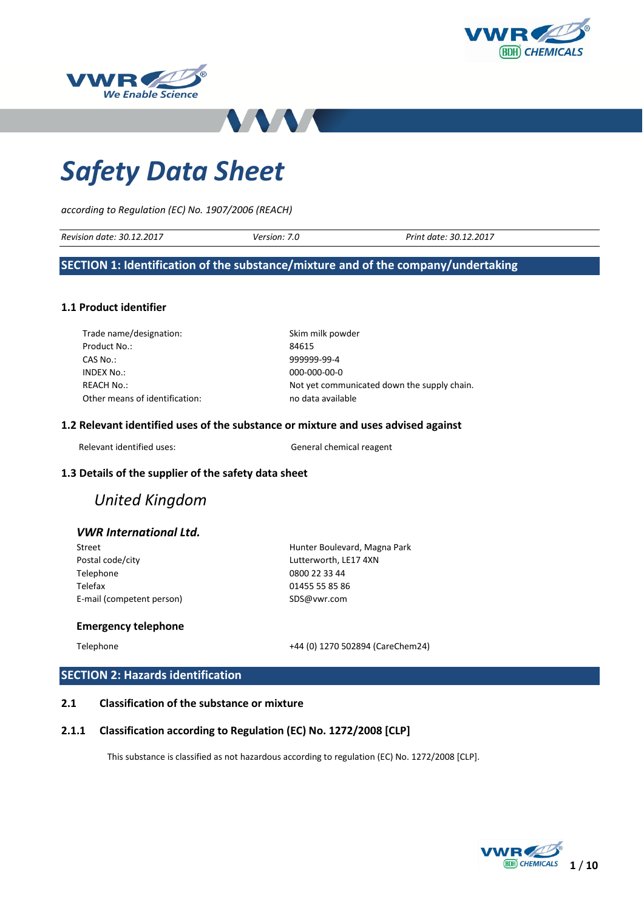





# *Safety Data Sheet*

*according to Regulation (EC) No. 1907/2006 (REACH)*

| Revision<br>∠.2017<br>ו חצ<br>date: | Version<br>7.U | 2.2017<br>зn<br>Print<br>date |
|-------------------------------------|----------------|-------------------------------|
|                                     |                |                               |

## **SECTION 1: Identification of the substance/mixture and of the company/undertaking**

## **1.1 Product identifier**

| Trade name/designation:        | Skim milk powder                            |
|--------------------------------|---------------------------------------------|
| Product No.:                   | 84615                                       |
| CAS No.:                       | 999999-99-4                                 |
| INDEX No.:                     | 000-000-00-0                                |
| REACH No.:                     | Not yet communicated down the supply chain. |
| Other means of identification: | no data available                           |
|                                |                                             |

## **1.2 Relevant identified uses of the substance or mixture and uses advised against**

Relevant identified uses: Calculation Communical reagent

## **1.3 Details of the supplier of the safety data sheet**

# *United Kingdom*

## *VWR International Ltd.*

| Street                    |
|---------------------------|
| Postal code/city          |
| Telephone                 |
| Telefax                   |
| E-mail (competent person) |

Hunter Boulevard, Magna Park Lutterworth, LE17 4XN 0800 22 33 44 01455 55 85 86 SDS@vwr.com

## **Emergency telephone**

Telephone +44 (0) 1270 502894 (CareChem24)

# **SECTION 2: Hazards identification**

## **2.1 Classification of the substance or mixture**

## **2.1.1 Classification according to Regulation (EC) No. 1272/2008 [CLP]**

This substance is classified as not hazardous according to regulation (EC) No. 1272/2008 [CLP].

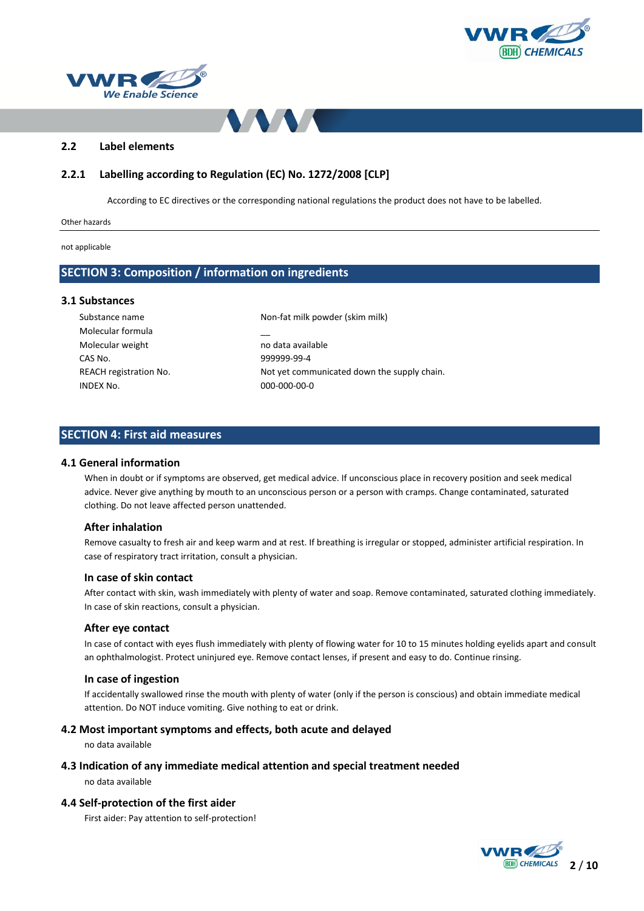





## **2.2 Label elements**

## **2.2.1 Labelling according to Regulation (EC) No. 1272/2008 [CLP]**

According to EC directives or the corresponding national regulations the product does not have to be labelled.

Other hazards

not applicable

# **SECTION 3: Composition / information on ingredients**

## **3.1 Substances**

| Substance name                | Non-fat milk p |
|-------------------------------|----------------|
| Molecular formula             |                |
| Molecular weight              | no data availa |
| CAS No.                       | 999999-99-4    |
| <b>REACH</b> registration No. | Not yet comm   |
| INDEX No.                     | 000-000-00-0   |

Non-fat milk powder (skim milk) no data available 99999-99-4 Not yet communicated down the supply chain.

## **SECTION 4: First aid measures**

#### **4.1 General information**

When in doubt or if symptoms are observed, get medical advice. If unconscious place in recovery position and seek medical advice. Never give anything by mouth to an unconscious person or a person with cramps. Change contaminated, saturated clothing. Do not leave affected person unattended.

#### **After inhalation**

Remove casualty to fresh air and keep warm and at rest. If breathing is irregular or stopped, administer artificial respiration. In case of respiratory tract irritation, consult a physician.

#### **In case of skin contact**

After contact with skin, wash immediately with plenty of water and soap. Remove contaminated, saturated clothing immediately. In case of skin reactions, consult a physician.

#### **After eye contact**

In case of contact with eyes flush immediately with plenty of flowing water for 10 to 15 minutes holding eyelids apart and consult an ophthalmologist. Protect uninjured eye. Remove contact lenses, if present and easy to do. Continue rinsing.

#### **In case of ingestion**

If accidentally swallowed rinse the mouth with plenty of water (only if the person is conscious) and obtain immediate medical attention. Do NOT induce vomiting. Give nothing to eat or drink.

#### **4.2 Most important symptoms and effects, both acute and delayed**

no data available

## **4.3 Indication of any immediate medical attention and special treatment needed**

no data available

## **4.4 Self-protection of the first aider**

First aider: Pay attention to self-protection!

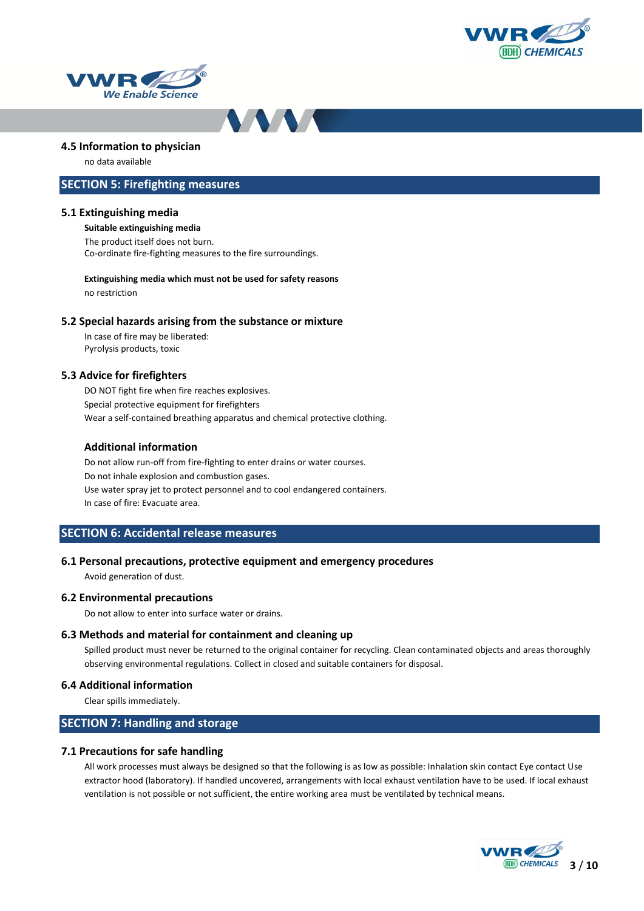





## **4.5 Information to physician**

no data available

## **SECTION 5: Firefighting measures**

## **5.1 Extinguishing media**

**Suitable extinguishing media** The product itself does not burn. Co-ordinate fire-fighting measures to the fire surroundings.

**Extinguishing media which must not be used for safety reasons** no restriction

#### **5.2 Special hazards arising from the substance or mixture**

In case of fire may be liberated: Pyrolysis products, toxic

## **5.3 Advice for firefighters**

DO NOT fight fire when fire reaches explosives. Special protective equipment for firefighters Wear a self-contained breathing apparatus and chemical protective clothing.

#### **Additional information**

Do not allow run-off from fire-fighting to enter drains or water courses. Do not inhale explosion and combustion gases. Use water spray jet to protect personnel and to cool endangered containers. In case of fire: Evacuate area.

## **SECTION 6: Accidental release measures**

## **6.1 Personal precautions, protective equipment and emergency procedures**

Avoid generation of dust.

#### **6.2 Environmental precautions**

Do not allow to enter into surface water or drains.

## **6.3 Methods and material for containment and cleaning up**

Spilled product must never be returned to the original container for recycling. Clean contaminated objects and areas thoroughly observing environmental regulations. Collect in closed and suitable containers for disposal.

#### **6.4 Additional information**

Clear spills immediately.

## **SECTION 7: Handling and storage**

#### **7.1 Precautions for safe handling**

All work processes must always be designed so that the following is as low as possible: Inhalation skin contact Eye contact Use extractor hood (laboratory). If handled uncovered, arrangements with local exhaust ventilation have to be used. If local exhaust ventilation is not possible or not sufficient, the entire working area must be ventilated by technical means.

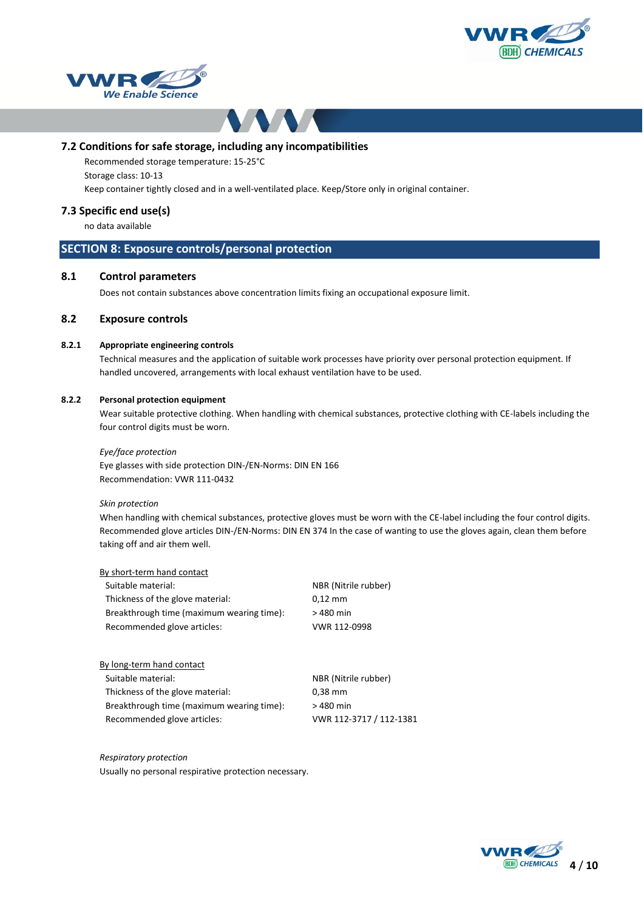





## **7.2 Conditions for safe storage, including any incompatibilities**

Recommended storage temperature: 15-25°C Storage class: 10-13

Keep container tightly closed and in a well-ventilated place. Keep/Store only in original container.

#### **7.3 Specific end use(s)**

no data available

## **SECTION 8: Exposure controls/personal protection**

## **8.1 Control parameters**

Does not contain substances above concentration limits fixing an occupational exposure limit.

## **8.2 Exposure controls**

#### **8.2.1 Appropriate engineering controls**

Technical measures and the application of suitable work processes have priority over personal protection equipment. If handled uncovered, arrangements with local exhaust ventilation have to be used.

#### **8.2.2 Personal protection equipment**

Wear suitable protective clothing. When handling with chemical substances, protective clothing with CE-labels including the four control digits must be worn.

#### *Eye/face protection*

Eye glasses with side protection DIN-/EN-Norms: DIN EN 166 Recommendation: VWR 111-0432

#### *Skin protection*

By long-term hand contact

When handling with chemical substances, protective gloves must be worn with the CE-label including the four control digits. Recommended glove articles DIN-/EN-Norms: DIN EN 374 In the case of wanting to use the gloves again, clean them before taking off and air them well.

| By short-term hand contact                |                      |
|-------------------------------------------|----------------------|
| Suitable material:                        | NBR (Nitrile rubber) |
| Thickness of the glove material:          | $0.12$ mm            |
| Breakthrough time (maximum wearing time): | >480 min             |
| Recommended glove articles:               | VWR 112-0998         |

| $\mathsf{D}$ , iong term nana contact     |                         |
|-------------------------------------------|-------------------------|
| Suitable material:                        | NBR (Nitrile rubber)    |
| Thickness of the glove material:          | $0.38$ mm               |
| Breakthrough time (maximum wearing time): | > 480 min               |
| Recommended glove articles:               | VWR 112-3717 / 112-1381 |

*Respiratory protection* Usually no personal respirative protection necessary.

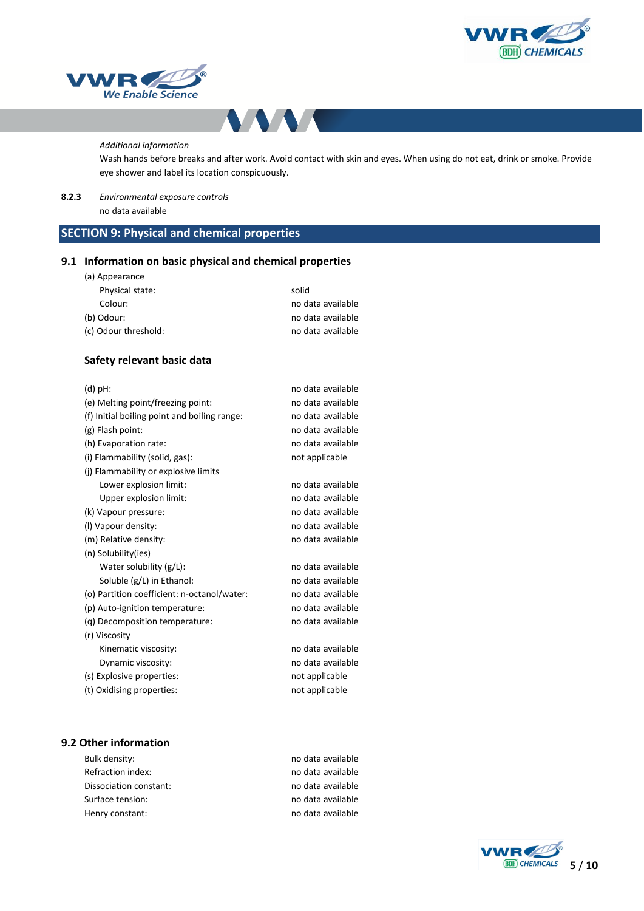





#### *Additional information*

Wash hands before breaks and after work. Avoid contact with skin and eyes. When using do not eat, drink or smoke. Provide eye shower and label its location conspicuously.

**8.2.3** *Environmental exposure controls*

no data available

# **SECTION 9: Physical and chemical properties**

## **9.1 Information on basic physical and chemical properties**

| (a) Appearance       |                   |
|----------------------|-------------------|
| Physical state:      | solid             |
| Colour:              | no data available |
| (b) Odour:           | no data available |
| (c) Odour threshold: | no data available |

## **Safety relevant basic data**

| $(d)$ pH:                                    | no data available |
|----------------------------------------------|-------------------|
| (e) Melting point/freezing point:            | no data available |
| (f) Initial boiling point and boiling range: | no data available |
| (g) Flash point:                             | no data available |
| (h) Evaporation rate:                        | no data available |
| (i) Flammability (solid, gas):               | not applicable    |
| (j) Flammability or explosive limits         |                   |
| Lower explosion limit:                       | no data available |
| Upper explosion limit:                       | no data available |
| (k) Vapour pressure:                         | no data available |
| (I) Vapour density:                          | no data available |
| (m) Relative density:                        | no data available |
| (n) Solubility(ies)                          |                   |
| Water solubility (g/L):                      | no data available |
| Soluble (g/L) in Ethanol:                    | no data available |
| (o) Partition coefficient: n-octanol/water:  | no data available |
| (p) Auto-ignition temperature:               | no data available |
| (q) Decomposition temperature:               | no data available |
| (r) Viscosity                                |                   |
| Kinematic viscosity:                         | no data available |
| Dynamic viscosity:                           | no data available |
| (s) Explosive properties:                    | not applicable    |
| (t) Oxidising properties:                    | not applicable    |
|                                              |                   |

## **9.2 Other information**

| Bulk density:          | no data available |
|------------------------|-------------------|
| Refraction index:      | no data available |
| Dissociation constant: | no data available |
| Surface tension:       | no data available |
| Henry constant:        | no data available |

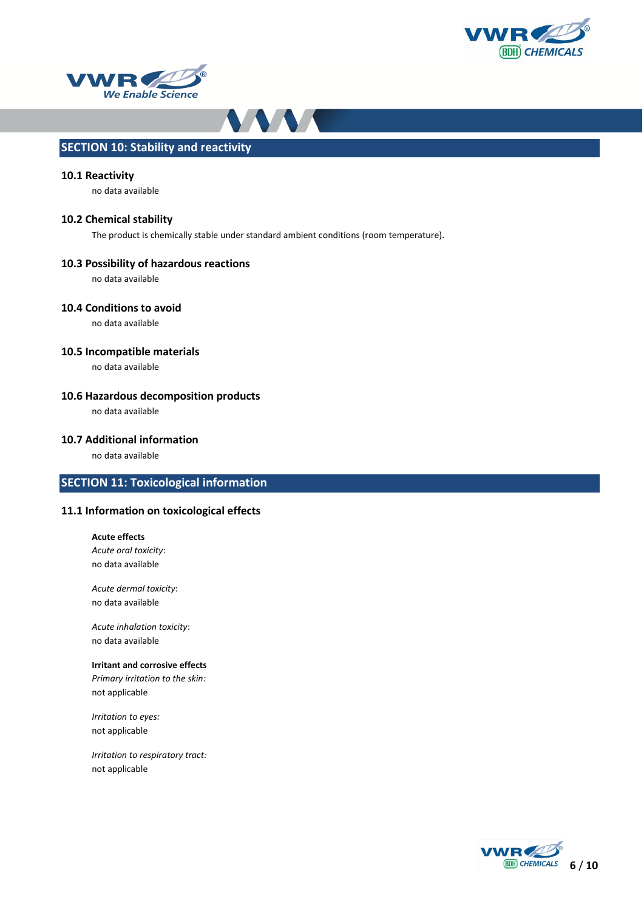





# **SECTION 10: Stability and reactivity**

## **10.1 Reactivity**

no data available

## **10.2 Chemical stability**

The product is chemically stable under standard ambient conditions (room temperature).

#### **10.3 Possibility of hazardous reactions**

no data available

## **10.4 Conditions to avoid**

no data available

## **10.5 Incompatible materials**

no data available

## **10.6 Hazardous decomposition products**

no data available

#### **10.7 Additional information**

no data available

## **SECTION 11: Toxicological information**

## **11.1 Information on toxicological effects**

**Acute effects** *Acute oral toxicity*: no data available

*Acute dermal toxicity*: no data available

*Acute inhalation toxicity*: no data available

## **Irritant and corrosive effects**

*Primary irritation to the skin:* not applicable

*Irritation to eyes:* not applicable

*Irritation to respiratory tract:* not applicable

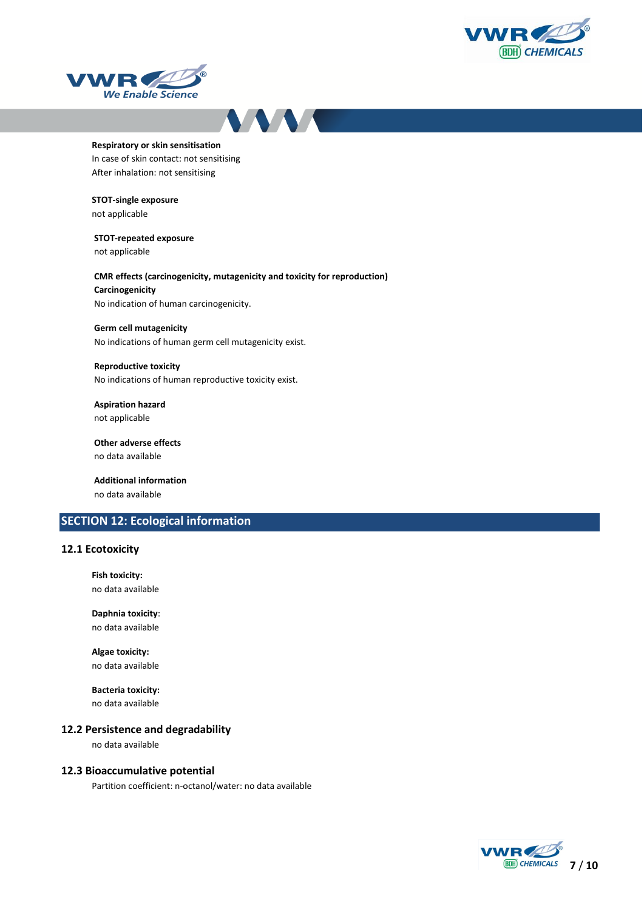





#### **Respiratory or skin sensitisation**

In case of skin contact: not sensitising After inhalation: not sensitising

#### **STOT-single exposure**

not applicable

#### **STOT-repeated exposure**

not applicable

## **CMR effects (carcinogenicity, mutagenicity and toxicity for reproduction) Carcinogenicity** No indication of human carcinogenicity.

**Germ cell mutagenicity** No indications of human germ cell mutagenicity exist.

# **Reproductive toxicity**

No indications of human reproductive toxicity exist.

## **Aspiration hazard** not applicable

**Other adverse effects** no data available

**Additional information** no data available

# **SECTION 12: Ecological information**

## **12.1 Ecotoxicity**

**Fish toxicity:** no data available

**Daphnia toxicity**: no data available

**Algae toxicity:** no data available

**Bacteria toxicity:** no data available

## **12.2 Persistence and degradability**

no data available

## **12.3 Bioaccumulative potential**

Partition coefficient: n-octanol/water: no data available

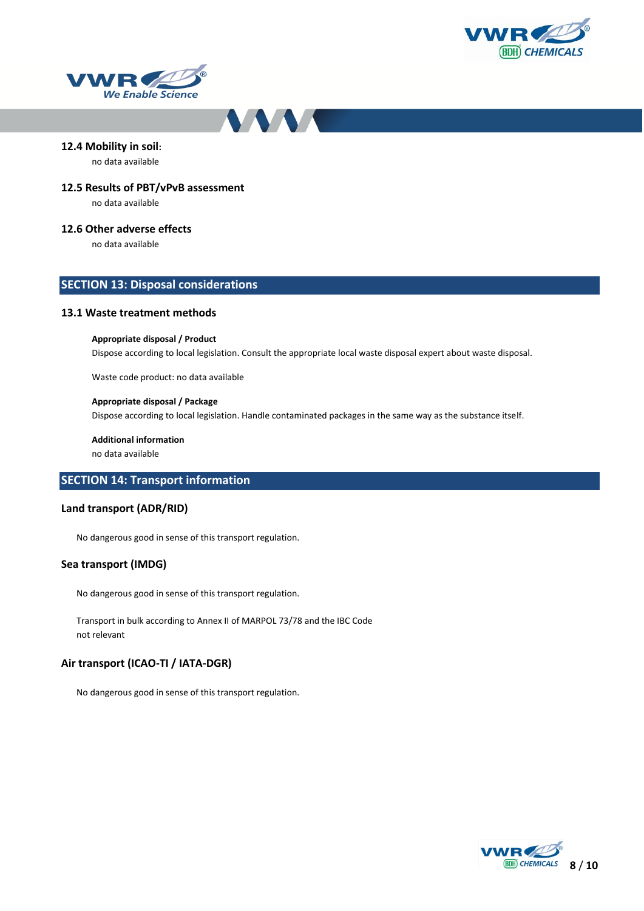





#### **12.4 Mobility in soil:**

no data available

## **12.5 Results of PBT/vPvB assessment**

no data available

#### **12.6 Other adverse effects**

no data available

## **SECTION 13: Disposal considerations**

## **13.1 Waste treatment methods**

#### **Appropriate disposal / Product**

Dispose according to local legislation. Consult the appropriate local waste disposal expert about waste disposal.

Waste code product: no data available

#### **Appropriate disposal / Package**

Dispose according to local legislation. Handle contaminated packages in the same way as the substance itself.

**Additional information** no data available

## **SECTION 14: Transport information**

## **Land transport (ADR/RID)**

No dangerous good in sense of this transport regulation.

#### **Sea transport (IMDG)**

No dangerous good in sense of this transport regulation.

Transport in bulk according to Annex II of MARPOL 73/78 and the IBC Code not relevant

## **Air transport (ICAO-TI / IATA-DGR)**

No dangerous good in sense of this transport regulation.

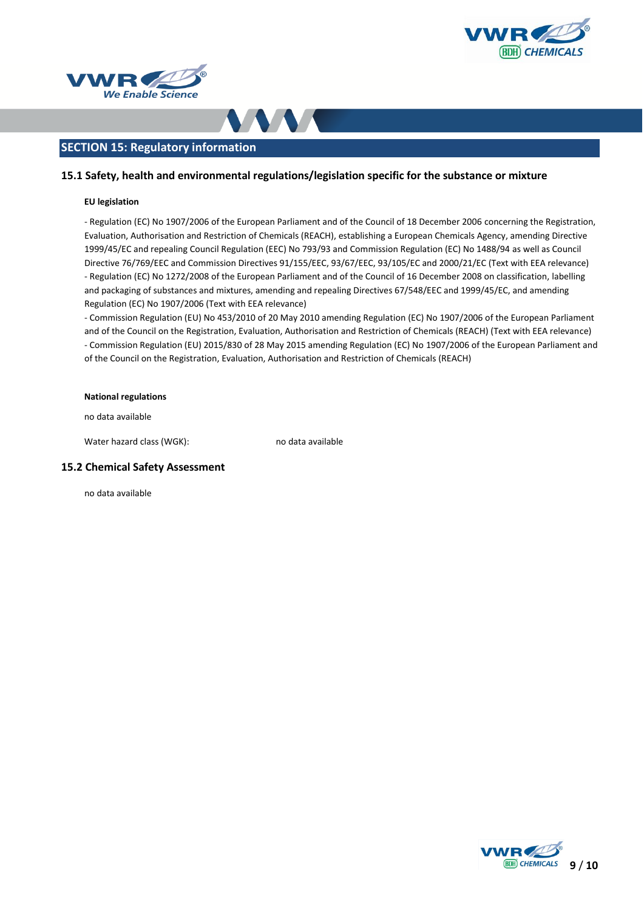





## **SECTION 15: Regulatory information**

## **15.1 Safety, health and environmental regulations/legislation specific for the substance or mixture**

#### **EU legislation**

- Regulation (EC) No 1907/2006 of the European Parliament and of the Council of 18 December 2006 concerning the Registration, Evaluation, Authorisation and Restriction of Chemicals (REACH), establishing a European Chemicals Agency, amending Directive 1999/45/EC and repealing Council Regulation (EEC) No 793/93 and Commission Regulation (EC) No 1488/94 as well as Council Directive 76/769/EEC and Commission Directives 91/155/EEC, 93/67/EEC, 93/105/EC and 2000/21/EC (Text with EEA relevance) - Regulation (EC) No 1272/2008 of the European Parliament and of the Council of 16 December 2008 on classification, labelling and packaging of substances and mixtures, amending and repealing Directives 67/548/EEC and 1999/45/EC, and amending Regulation (EC) No 1907/2006 (Text with EEA relevance)

- Commission Regulation (EU) No 453/2010 of 20 May 2010 amending Regulation (EC) No 1907/2006 of the European Parliament and of the Council on the Registration, Evaluation, Authorisation and Restriction of Chemicals (REACH) (Text with EEA relevance) - Commission Regulation (EU) 2015/830 of 28 May 2015 amending Regulation (EC) No 1907/2006 of the European Parliament and of the Council on the Registration, Evaluation, Authorisation and Restriction of Chemicals (REACH)

#### **National regulations**

no data available

Water hazard class (WGK): no data available

## **15.2 Chemical Safety Assessment**

no data available